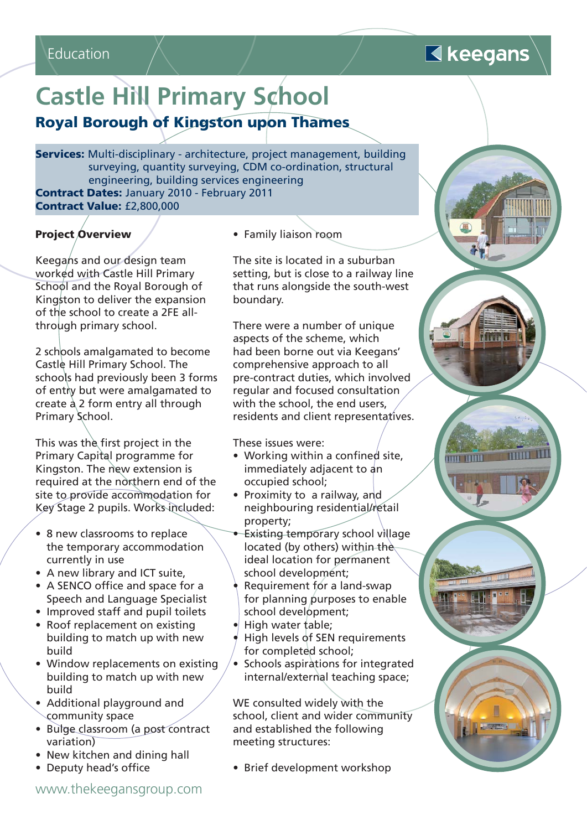# **Castle Hill Primary School**

**Royal Borough of Kingston upon Thames**

**Services:** Multi-disciplinary - architecture, project management, building surveying, quantity surveying, CDM co-ordination, structural engineering, building services engineering **Contract Dates:** January 2010 - February 2011 **Contract Value:** £2,800,000

#### **Project Overview**

Keegans and our design team worked with Castle Hill Primary School and the Royal Borough of Kingston to deliver the expansion of the school to create a 2FE allthrough primary school.

2 schools amalgamated to become Castle Hill Primary School. The schools had previously been 3 forms of entry but were amalgamated to create  $a \geq 2$  form entry all through Primary School.

This was the first project in the Primary Capital programme for Kingston. The new extension is required at the northern end of the site to provide accommodation for Key Stage 2 pupils. Works included:

- 8 new classrooms to replace the temporary accommodation currently in use
- A new library and ICT suite,
- A SENCO office and space for a Speech and Language Specialist
- Improved staff and pupil toilets
- Roof replacement on existing building to match up with new build
- Window replacements on existing building to match up with new build
- Additional playground and community space
- Bulge classroom (a post contract variation)
- New kitchen and dining hall
- Deputy head's office

• Family liaison room

The site is located in a suburban setting, but is close to a railway line that runs alongside the south-west boundary.

There were a number of unique aspects of the scheme, which had been borne out via Keegans' comprehensive approach to all pre-contract duties, which involved regular and focused consultation with the school, the end users, residents and client representatives.

These issues were:

- Working within a confined site, immediately adjacent to an occupied school;
- Proximity to a railway, and neighbouring residential/retail property;
- **Existing temporary school village** located (by others) within the ideal location for permanent school development;
- Requirement for a land-swap for planning purposes to enable school development;
- $\bullet$  High water table;
- High levels of SEN requirements for completed school;
- Schools aspirations for integrated internal/external teaching space;

WE consulted widely with the school, client and wider community and established the following meeting structures:

• Brief development workshop

# $\blacksquare$  keegans

**MIT HITEL**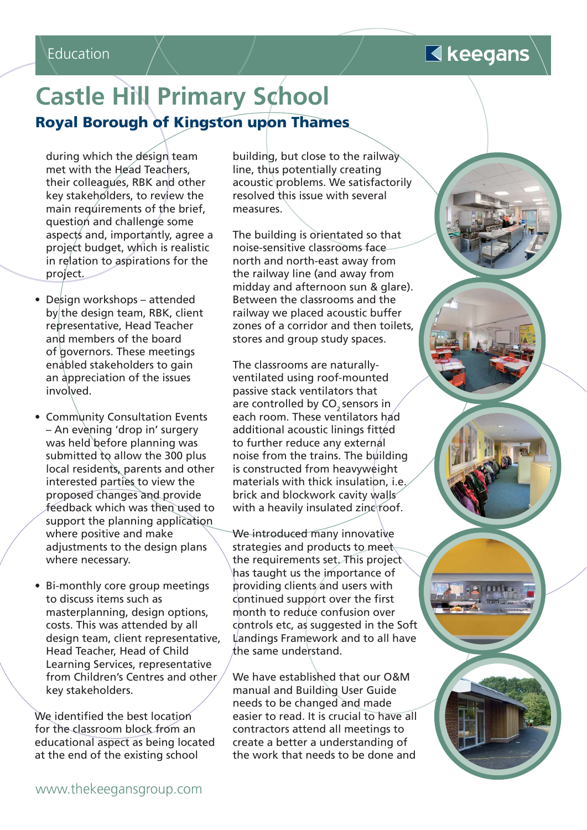### $\blacksquare$  keegans

# **Castle Hill Primary School Royal Borough of Kingston upon Thames**

during which the design team met with the Head Teachers, their colleagues, RBK and other key stakeholders, to review the  $main$  requirements of the brief, question and challenge some aspects and, importantly, agree a project budget, which is realistic in relation to aspirations for the project.

- Design workshops attended by the design team, RBK, client representative, Head Teacher and members of the board of governors. These meetings enabled stakeholders to gain an appreciation of the issues involved.
- Community Consultation Events – An evening 'drop in' surgery was held before planning was submitted to allow the 300 plus local residents, parents and other interested parties to view the proposed changes and provide feedback which was then used to support the planning application where positive and make adjustments to the design plans where necessary.
- Bi-monthly core group meetings to discuss items such as masterplanning, design options, costs. This was attended by all design team, client representative, Head Teacher, Head of Child Learning Services, representative from Children's Centres and other key stakeholders.

We identified the best location for the classroom block from an educational aspect as being located at the end of the existing school

building, but close to the railway line, thus potentially creating acoustic problems. We satisfactorily resolved this issue with several measures.

The building is orientated so that noise-sensitive classrooms face north and north-east away from the railway line (and away from midday and afternoon sun & glare). Between the classrooms and the railway we placed acoustic buffer zones of a corridor and then toilets, stores and group study spaces.

The classrooms are naturallyventilated using roof-mounted passive stack ventilators that are controlled by CO<sub>2</sub> sensors in each room. These ventilators had additional acoustic linings fitted to further reduce any external noise from the trains. The building is constructed from heavyweight materials with thick insulation, i.e. brick and blockwork cavity walls with a heavily insulated zine roof.

We introduced many innovative strategies and products to meet the requirements set. This project has taught us the importance of providing clients and users with continued support over the first month to reduce confusion over controls etc, as suggested in the Soft Landings Framework and to all have the same understand.

We have established that our O&M manual and Building User Guide needs to be changed and made easier to read. It is crucial to have all contractors attend all meetings to create a better a understanding of the work that needs to be done and